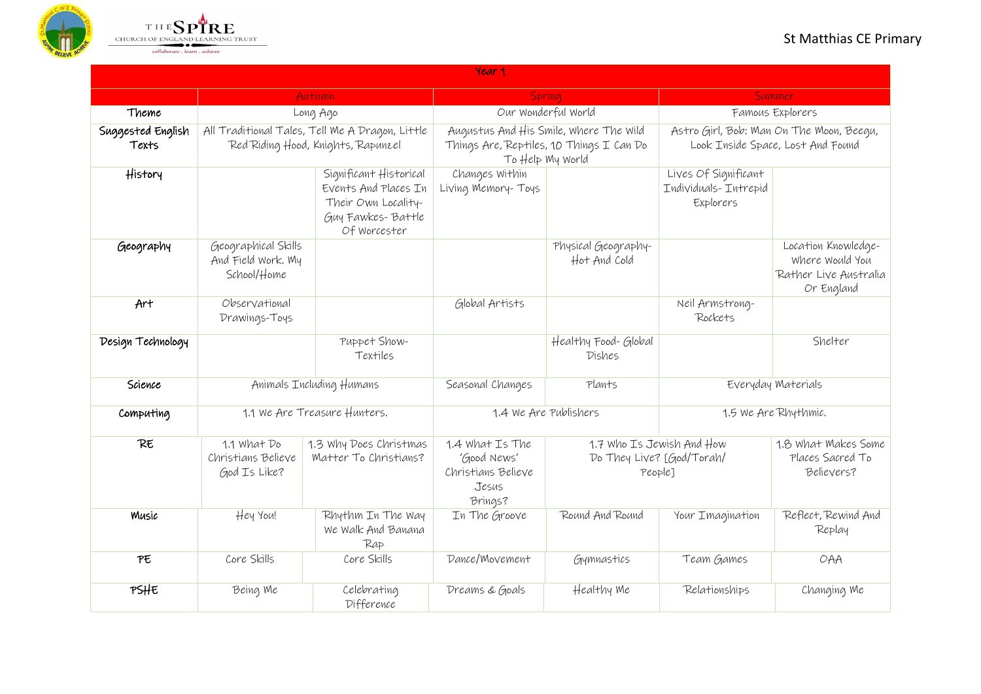



|                            |                                                                                       |                                                                                                            | Year 1                                                                                                 |                                                                   |                                                           |                                                                               |  |
|----------------------------|---------------------------------------------------------------------------------------|------------------------------------------------------------------------------------------------------------|--------------------------------------------------------------------------------------------------------|-------------------------------------------------------------------|-----------------------------------------------------------|-------------------------------------------------------------------------------|--|
|                            |                                                                                       | Autumn                                                                                                     |                                                                                                        | Spring                                                            |                                                           | Summer                                                                        |  |
| Theme                      |                                                                                       | Long Ago                                                                                                   |                                                                                                        | Our Wonderful World                                               |                                                           | Famous Explorers                                                              |  |
| Suggested English<br>Texts | All Traditional Tales, Tell Me A Dragon, Little<br>Red Riding Hood, Knights, Rapunzel |                                                                                                            | Augustus And His Smile, where The Wild<br>Things Are, Reptiles, 10 Things I Can Do<br>To Help My World |                                                                   |                                                           | Astro Girl, Bob: Man On The Moon, Beegu,<br>Look Inside Space, Lost And Found |  |
| History                    |                                                                                       | Significant Historical<br>Events And Places In<br>Their Own Locality-<br>Guy Fawkes-Battle<br>Of Worcester | Changes Within<br>Living Memory-Toys                                                                   |                                                                   | Lives Of Significant<br>Individuals-Intrepid<br>Explorers |                                                                               |  |
| Geography                  | Geographical Skills<br>And Field Work. My<br>School/Home                              |                                                                                                            |                                                                                                        | Physical Geography-<br>Hot And Cold                               |                                                           | Location Knowledge-<br>Where Would You<br>Rather Live Australia<br>Or England |  |
| $Ar+$                      | Observational<br>Drawings-Toys                                                        |                                                                                                            | Global Artists                                                                                         |                                                                   | Neil Armstrong-<br>Rockets                                |                                                                               |  |
| Design Technology          |                                                                                       | Puppet Show-<br>Textiles                                                                                   |                                                                                                        | Healthy Food-Global<br>Dishes                                     |                                                           | Shelter                                                                       |  |
| Science                    |                                                                                       | Animals Including Humans                                                                                   | Seasonal Changes                                                                                       | Plants                                                            |                                                           | Everyday Materials                                                            |  |
| Computing                  |                                                                                       | 1.1 We Are Treasure Hunters.                                                                               |                                                                                                        | 1.4 We Are Publishers                                             |                                                           | 1.5 We Are Rhythmic.                                                          |  |
| RE                         | 1.1 What Do<br>Christians Believe<br>God Is Like?                                     | 1.3 Why Does Christmas<br>Matter To Christians?                                                            | 1.4 What Is The<br>'Good News'<br>Christians Believe<br>Jesus<br>Brings?                               | 1.7 Who Is Jewish And How<br>Do They Live? [God/Torah/<br>People] |                                                           | 1.8 What Makes Some<br>Places Sacred To<br>Believers?                         |  |
| Music                      | Hey You!                                                                              | Rhythm In The Way<br>We Walk And Banana<br>Rap                                                             | In The Groove                                                                                          | Round And Round                                                   | Your Imagination                                          | Reflect, Rewind And<br>Replay                                                 |  |
| PE                         | Core Skills                                                                           | Core Skills                                                                                                | Dance/Movement                                                                                         | Gymnastics                                                        | Team Games                                                | OAA                                                                           |  |
| PSHE                       | Being Me                                                                              | Celebrating<br>Difference                                                                                  | Dreams & Goals                                                                                         | Healthy Me                                                        | Relationships                                             | Changing Me                                                                   |  |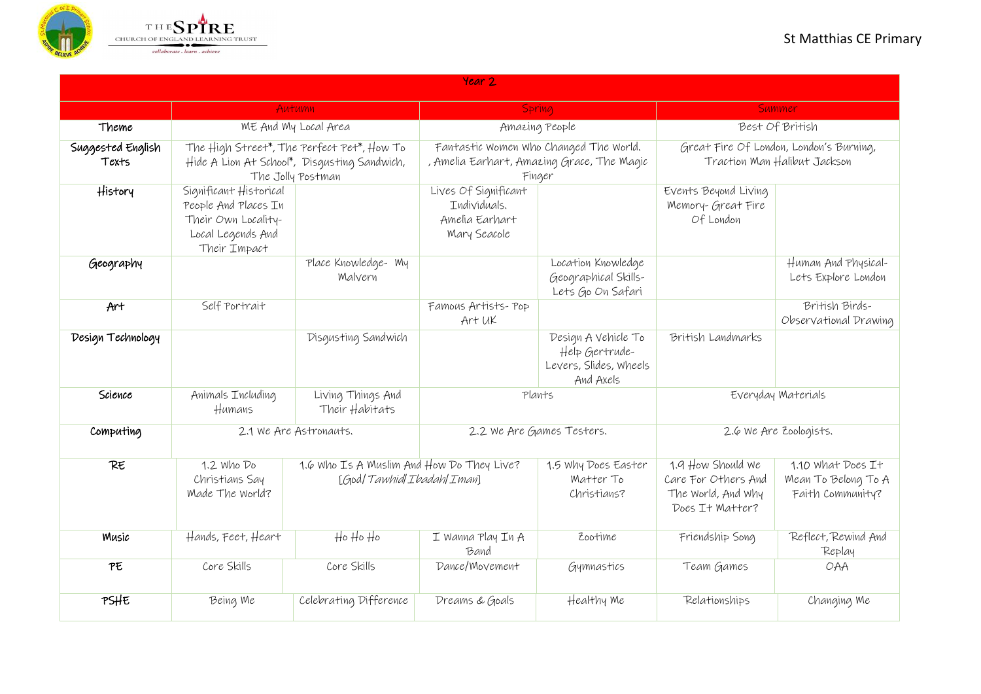



|                            |                                                                                                                                           |                                                                          | Year 2                                                                                         |                                                                              |                                                                                   |                                                              |
|----------------------------|-------------------------------------------------------------------------------------------------------------------------------------------|--------------------------------------------------------------------------|------------------------------------------------------------------------------------------------|------------------------------------------------------------------------------|-----------------------------------------------------------------------------------|--------------------------------------------------------------|
|                            |                                                                                                                                           | Autumn                                                                   | Spring                                                                                         |                                                                              |                                                                                   | Summer                                                       |
| Theme                      |                                                                                                                                           | <b>WE And My Local Area</b>                                              |                                                                                                | Amazing People                                                               |                                                                                   | Best Of British                                              |
| Suggested English<br>Texts | The High Street <sup>*</sup> , The Perfect Pet <sup>*</sup> , How To<br>Hide A Lion At School*, Disgusting Sandwich,<br>The Jolly Postman |                                                                          | Fantastic Women Who Changed The World.<br>, Amelia Earhart, Amazing Grace, The Magic<br>Finger |                                                                              | Great Fire Of London, London's Burning,<br>Traction Man Halibut Jackson           |                                                              |
| History                    | Significant Historical<br>People And Places In<br>Their Own Locality-<br>Local Legends And<br>Their Impact                                |                                                                          | Lives Of Significant<br>Individuals.<br>Amelia Earhart<br>Mary Seacole                         |                                                                              | Events Beyond Living<br>Memory-Great Fire<br>Of London                            |                                                              |
| Geography                  |                                                                                                                                           | Place Knowledge- My<br>Malvern                                           |                                                                                                | Location Knowledge<br>Geographical Skills-<br>Lets Go On Safari              |                                                                                   | Human And Physical-<br>Lets Explore London                   |
| Art                        | Self Portrait                                                                                                                             |                                                                          | Famous Artists- Pop<br>Art UK                                                                  |                                                                              |                                                                                   | British Birds-<br>Observational Drawing                      |
| Design Technology          |                                                                                                                                           | Disgusting Sandwich                                                      |                                                                                                | Design A Vehicle To<br>Help Gertrude-<br>Levers, Slides, wheels<br>And Axels | British Landmarks                                                                 |                                                              |
| Science                    | Animals Including<br>Humans                                                                                                               | Living Things And<br>Their Habitats                                      |                                                                                                | Plants                                                                       |                                                                                   | Everyday Materials                                           |
| Computing                  |                                                                                                                                           | 2.1 We Are Astronauts.                                                   |                                                                                                | 2.2 We Are Games Testers.                                                    | 2.6 We Are Zoologists.                                                            |                                                              |
| RE                         | $1.2$ Who $Do$<br>Christians Say<br>Made The World?                                                                                       | 1.6 Who Is A Muslim And How Do They Live?<br>[God  Tawhid  Ibadah  Iman] |                                                                                                | 1.5 Why Does Easter<br>Matter To<br>Christians?                              | 1.9 How Should We<br>Care For Others And<br>The World, And Why<br>Does It Matter? | 1.10 What Does It<br>Mean To Belong To A<br>Faith Community? |
| Music                      | Hands, Feet, Heart                                                                                                                        | $H_0$ $H_0$ $H_0$                                                        | I Wanna Play In A<br>Band                                                                      | Zootime                                                                      | Friendship Song                                                                   | Reflect, Rewind And<br>Replay                                |
| PE                         | Core Skills                                                                                                                               | Core Skills                                                              | Dance/Movement                                                                                 | Gymnastics                                                                   | Team Games                                                                        | OAA                                                          |
| <b>PSHE</b>                | Being Me                                                                                                                                  | Celebrating Difference                                                   | Dreams & Goals                                                                                 | Healthy Me                                                                   | Relationships                                                                     | Changing Me                                                  |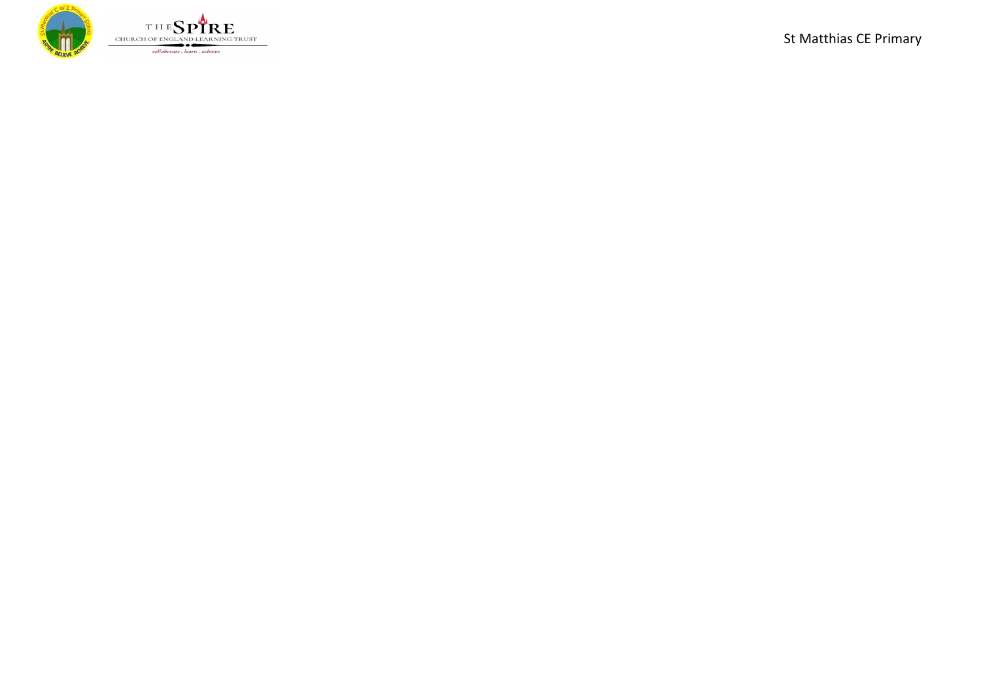

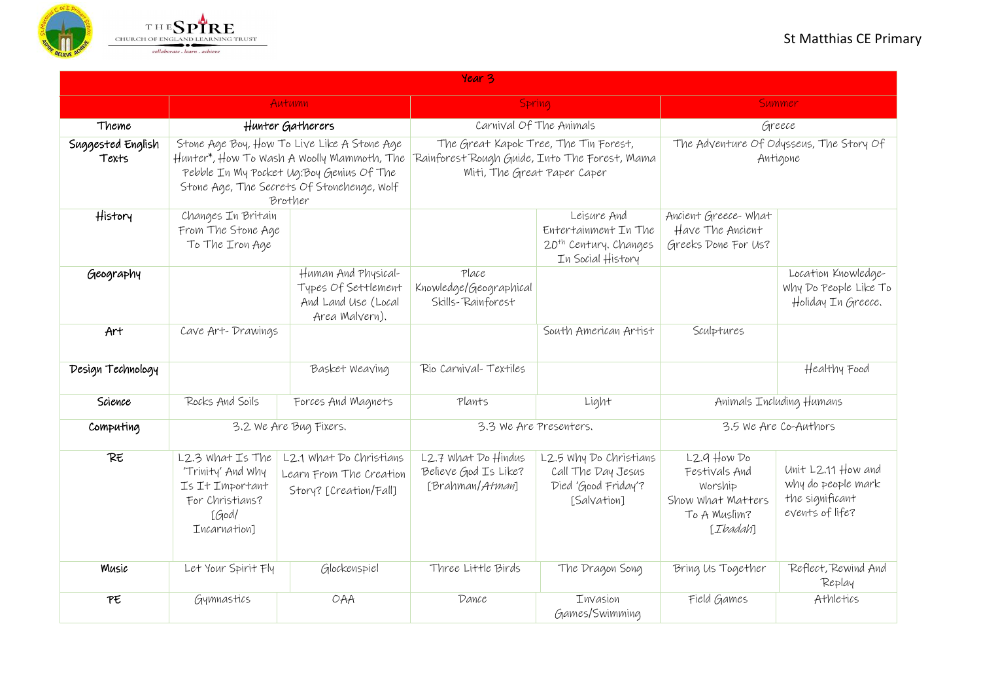



|                            |                                                                                                                                                                                                |                                                                                     | Year <sub>3</sub>                                                                                                     |                                                                                               |                                                                                            |                                                                                  |
|----------------------------|------------------------------------------------------------------------------------------------------------------------------------------------------------------------------------------------|-------------------------------------------------------------------------------------|-----------------------------------------------------------------------------------------------------------------------|-----------------------------------------------------------------------------------------------|--------------------------------------------------------------------------------------------|----------------------------------------------------------------------------------|
|                            |                                                                                                                                                                                                | Autumn                                                                              |                                                                                                                       | Spring                                                                                        |                                                                                            | Summer                                                                           |
| Theme                      |                                                                                                                                                                                                | Hunter Gatherers                                                                    |                                                                                                                       | Carnival Of The Animals                                                                       |                                                                                            | Greece                                                                           |
| Suggested English<br>Texts | Stone Age Boy, How To Live Like A Stone Age<br>Hunter*, How To Wash A Woolly Mammoth, The<br>Pebble In My Pocket Ug:Boy Genius Of The<br>Stone Age, The Secrets Of Stonehenge, Wolf<br>Brother |                                                                                     | The Great Kapok Tree, The Tin Forest,<br>Rainforest Rough Guide, Into The Forest, Mama<br>Miti, The Great Paper Caper |                                                                                               | The Adventure Of Odysseus, The Story Of<br>Antigone                                        |                                                                                  |
| History                    | Changes In Britain<br>From The Stone Age<br>To The Iron Age                                                                                                                                    |                                                                                     |                                                                                                                       | Leisure And<br>Entertainment In The<br>20 <sup>th</sup> Century. Changes<br>In Social History | Ancient Greece- What<br>Have The Ancient<br>Greeks Done For Us?                            |                                                                                  |
| Geography                  |                                                                                                                                                                                                | Human And Physical-<br>Types Of Settlement<br>And Land Use (Local<br>Area Malvern). | Place<br>Knowledge/Geographical<br>Skills-Rainforest                                                                  |                                                                                               |                                                                                            | Location Knowledge-<br>Why Do People Like To<br>Holiday In Greece.               |
| Art                        | Cave Art-Drawings                                                                                                                                                                              |                                                                                     |                                                                                                                       | South American Artist                                                                         | Sculptures                                                                                 |                                                                                  |
| Design Technology          |                                                                                                                                                                                                | Basket Weaving                                                                      | Rio Carnival-Textiles                                                                                                 |                                                                                               |                                                                                            | Healthy Food                                                                     |
| Science                    | Rocks And Soils                                                                                                                                                                                | Forces And Magnets                                                                  | Plants                                                                                                                | Light                                                                                         |                                                                                            | Animals Including Humans                                                         |
| Computing                  |                                                                                                                                                                                                | 3.2 We Are Bug Fixers.                                                              | 3.3 We Are Presenters.                                                                                                |                                                                                               |                                                                                            | 3.5 We Are Co-Authors                                                            |
| RE                         | L2.3 What Is The<br>'Trinity' And Why<br>Is It Important<br>For Christians?<br>[God/<br>Incarnation]                                                                                           | L2.1 What Do Christians<br>Learn From The Creation<br>Story? [Creation/Fall]        | L2.7 What Do Hindus<br>Believe God Is Like?<br>[Brahman/Atman]                                                        | L2.5 Why Do Christians<br>Call The Day Jesus<br>Died 'Good Friday'?<br>[Salvation]            | $L2.9$ How Do<br>Festivals And<br>Worship<br>Show What Matters<br>To A Muslim?<br>[Ibadah] | Unit $L2.11$ How and<br>why do people mark<br>the significant<br>events of life? |
| Music                      | Let Your Spirit Fly                                                                                                                                                                            | Glockenspiel                                                                        | Three Little Birds                                                                                                    | The Dragon Song                                                                               | Bring Us Together                                                                          | Reflect, Rewind And<br>Replay                                                    |
| PE                         | Gymnastics                                                                                                                                                                                     | OAA                                                                                 | Dance                                                                                                                 | Invasion<br>Games/Swimming                                                                    | Field Games                                                                                | Athletics                                                                        |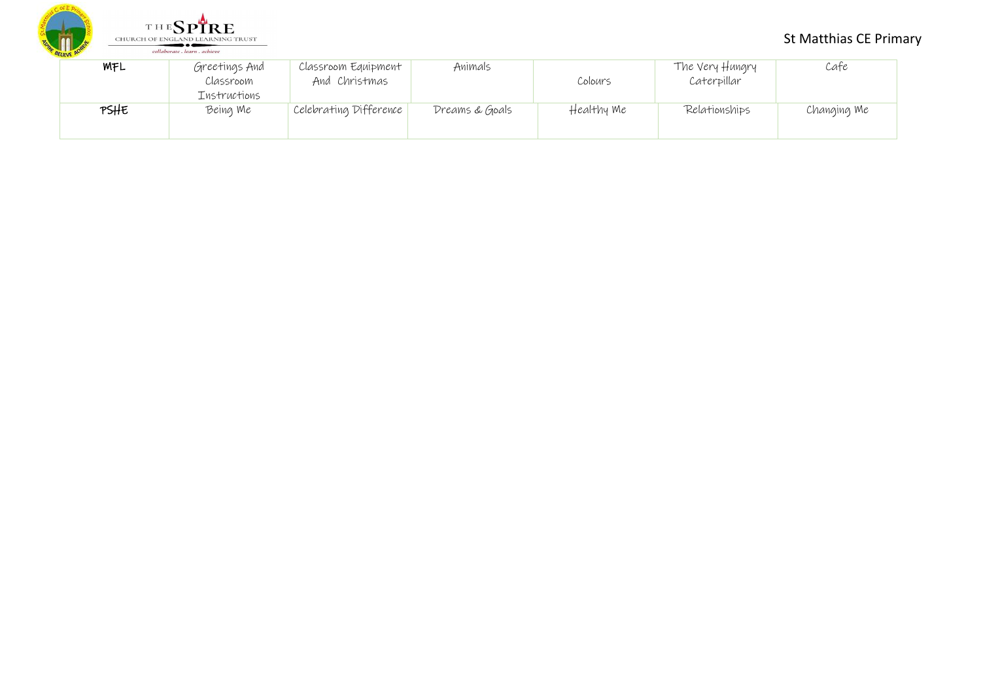



| <b>MFL</b> | Greetings And<br>Classroom<br>Instructions | Classroom Equipment<br>And Christmas | Animals        | Colours    | The Very Hungry<br>Caterpillar | Cafe        |
|------------|--------------------------------------------|--------------------------------------|----------------|------------|--------------------------------|-------------|
| PSHE       | Being Me                                   | Celebrating Difference               | Dreams & Goals | Healthy Me | Relationships                  | Changing Me |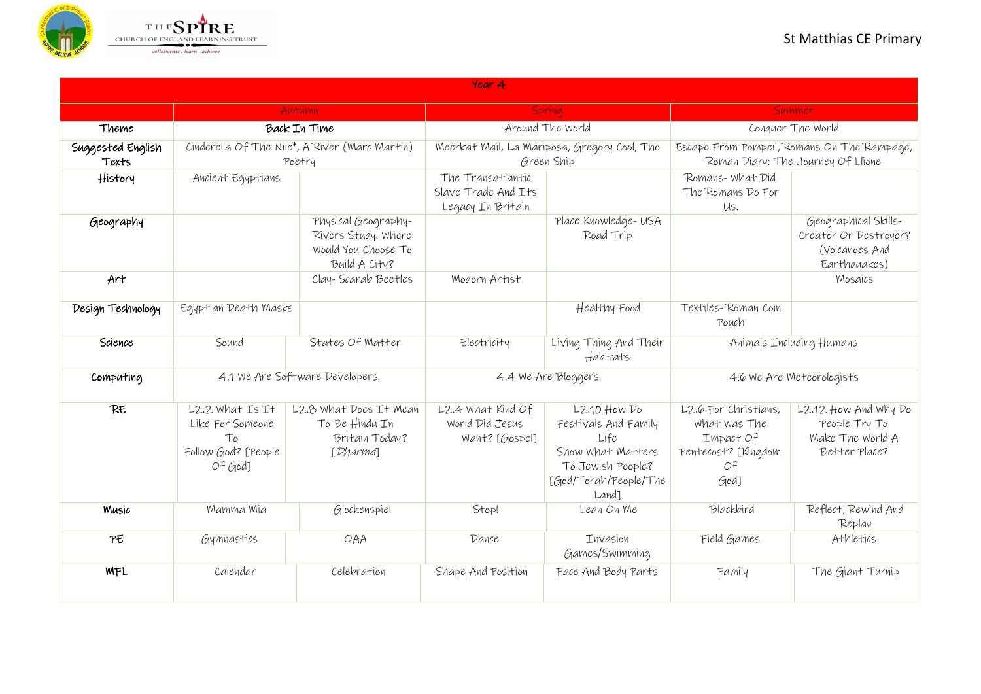



|                            |                                                                            |                                                                                    | Year 4                                                        |                                                                                                                            |                                                                                                    |                                                                                   |
|----------------------------|----------------------------------------------------------------------------|------------------------------------------------------------------------------------|---------------------------------------------------------------|----------------------------------------------------------------------------------------------------------------------------|----------------------------------------------------------------------------------------------------|-----------------------------------------------------------------------------------|
|                            |                                                                            | Autumn                                                                             |                                                               | Spring                                                                                                                     | Summer                                                                                             |                                                                                   |
| Theme                      |                                                                            | Back In Time                                                                       |                                                               | Around The World                                                                                                           |                                                                                                    | Conquer The World                                                                 |
| Suggested English<br>Texts |                                                                            | Cinderella Of The Nile <sup>*</sup> , A River (Marc Martin)<br>Poetry              |                                                               | Meerkat Mail, La Mariposa, Gregory Cool, The<br>Green Ship                                                                 |                                                                                                    | Escape From Pompeii, Romans On The Rampage,<br>Roman Diary: The Journey Of Llione |
| History                    | Ancient Egyptians                                                          |                                                                                    | The Transatlantic<br>Slave Trade And Its<br>Legacy In Britain |                                                                                                                            | Romans-What Did<br>The Romans Do For<br>Us.                                                        |                                                                                   |
| Geography                  |                                                                            | Physical Geography-<br>Rivers Study. Where<br>Would You Choose To<br>Build A City? |                                                               | Place Knowledge-USA<br>Road Trip                                                                                           |                                                                                                    | Geographical Skills-<br>Creator Or Destroyer?<br>(Volcanoes And<br>Earthquakes)   |
| Art                        |                                                                            | Clay-Scarab Beetles                                                                | Modern Artist                                                 |                                                                                                                            |                                                                                                    | Mosaics                                                                           |
| Design Technology          | Egyptian Death Masks                                                       |                                                                                    |                                                               | Healthy Food                                                                                                               | Textiles-Roman Coin<br>Pouch                                                                       |                                                                                   |
| Science                    | Sound                                                                      | States Of Matter                                                                   | Electricity                                                   | Living Thing And Their<br>Habitats                                                                                         |                                                                                                    | Animals Including Humans                                                          |
| Computing                  |                                                                            | 4.1 We Are Software Developers.                                                    | 4.4 We Are Bloggers                                           |                                                                                                                            |                                                                                                    | 4.6 We Are Meteorologists                                                         |
| RE                         | L2.2 What Is It<br>Like For Someone<br>Tο<br>Follow God? [People<br>OfGod] | L2.8 What Does It Mean<br>To Be Hindu In<br>Britain Today?<br>[Dharma]             | L2.4 What Kind Of<br>World Did Jesus<br>Want? [Gospel]        | $L2.10$ How Do<br>Festivals And Family<br>Life<br>Show What Matters<br>To Jewish People?<br>[God/Torah/People/The<br>Land] | L2.6 For Christians,<br>What Was The<br>Impact Of<br>Pentecost? [Kingdom<br>$\mathcal{O}f$<br>God] | $L2.12$ How And Why Do<br>People Try To<br>Make The World A<br>Better Place?      |
| Music                      | Mamma Mia                                                                  | Glockenspiel                                                                       | Stop!                                                         | Lean On Me                                                                                                                 | Blackbird                                                                                          | Reflect, Rewind And<br>Replay                                                     |
| PE                         | Gymnastics                                                                 | OAA                                                                                | Dance                                                         | Invasion<br>Games/Swimming                                                                                                 | Field Games                                                                                        | Athletics                                                                         |
| <b>MFL</b>                 | Calendar                                                                   | Celebration                                                                        | Shape And Position                                            | Face And Body Parts                                                                                                        | Family                                                                                             | The Giant Turnip                                                                  |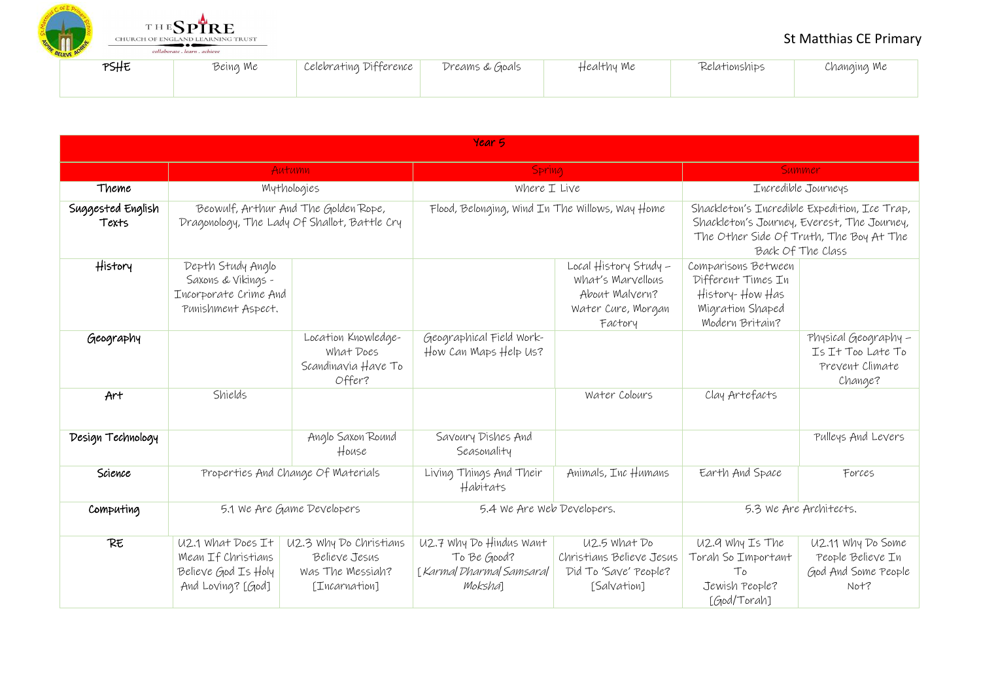

| -------- |          |                        |                |            |               |             |
|----------|----------|------------------------|----------------|------------|---------------|-------------|
| PSHE     | Being Me | Celebrating Difference | Dreams & Goals | Healthy Me | Relationships | Changing Me |
|          |          |                        |                |            |               |             |

|                            | Year 5                                                                                                                                                              |                                                                               |                                                                                               |                                                                                                                                                              |                                                                         |  |  |  |  |
|----------------------------|---------------------------------------------------------------------------------------------------------------------------------------------------------------------|-------------------------------------------------------------------------------|-----------------------------------------------------------------------------------------------|--------------------------------------------------------------------------------------------------------------------------------------------------------------|-------------------------------------------------------------------------|--|--|--|--|
|                            | Autumn                                                                                                                                                              | Spring                                                                        |                                                                                               |                                                                                                                                                              | Summer                                                                  |  |  |  |  |
| Theme                      | Mythologies                                                                                                                                                         | Where $I$ Live                                                                |                                                                                               |                                                                                                                                                              | Incredible Journeys                                                     |  |  |  |  |
| Suggested English<br>Texts | Beowulf, Arthur And The Golden Rope,<br>Dragonology, The Lady Of Shallot, Battle Cry                                                                                | Flood, Belonging, Wind In The Willows, Way $H$ ome                            |                                                                                               | Shackleton's Incredible Expedition, Ice Trap,<br>Shackleton's Journey, Everest, The Journey,<br>The Other Side Of Truth, The Boy At The<br>Back Of The Class |                                                                         |  |  |  |  |
| History                    | Depth Study Anglo<br>Saxons & Vikings -<br>Incorporate Crime And<br>Punishment Aspect.                                                                              |                                                                               | Local History Study –<br>What's Maryellous<br>About Malvern?<br>Water Cure, Morgan<br>Factory | Comparisons Between<br>Different Times In<br>History- How Has<br>Migration Shaped<br>Modern Britain?                                                         |                                                                         |  |  |  |  |
| Geography                  | Location Knowledge-<br>What Does<br>Scandinavia Have To<br>Offer?                                                                                                   | Geographical Field Work-<br>How Can Maps Help Us?                             |                                                                                               |                                                                                                                                                              | Physical Geography -<br>Is It Too Late To<br>Prevent Climate<br>Change? |  |  |  |  |
| $Ar+$                      | Shields                                                                                                                                                             |                                                                               | Water Colours                                                                                 | Clay Artefacts                                                                                                                                               |                                                                         |  |  |  |  |
| Design Technology          | Anglo Saxon Round<br>House                                                                                                                                          | Savoury Dishes And<br>Seasonality                                             |                                                                                               |                                                                                                                                                              | Pulleys And Levers                                                      |  |  |  |  |
| Science                    | Properties And Change Of Materials                                                                                                                                  | Living Things And Their<br>Habitats                                           | Animals, Inc Humans                                                                           | Earth And Space                                                                                                                                              | Forces                                                                  |  |  |  |  |
| Computing                  | 5.1 We Are Game Developers                                                                                                                                          | 5.4 We Are Web Developers.                                                    |                                                                                               |                                                                                                                                                              | 5.3 We Are Architects.                                                  |  |  |  |  |
| RE                         | U2.1 What Does It<br>U2.3 Why Do Christians<br>Mean If Christians<br>Believe Jesus<br>Believe God Is Holy<br>Was The Messiah?<br>And Loving? [God]<br>[Incarnation] | U2.7 Why Do Hindus Want<br>To Be Good?<br>[Karma  Dharma  Samsara <br>Moksha] | U2.5 What Do<br>Christians Believe Jesus<br>Did To 'Save' People?<br>[Salvation]              | U2.9 Why Is The<br>Torah So Important<br>$T$ o<br>Jewish People?<br>[God/Torah]                                                                              | U2.11 Why Do Some<br>People Believe In<br>God And Some People<br>Not?   |  |  |  |  |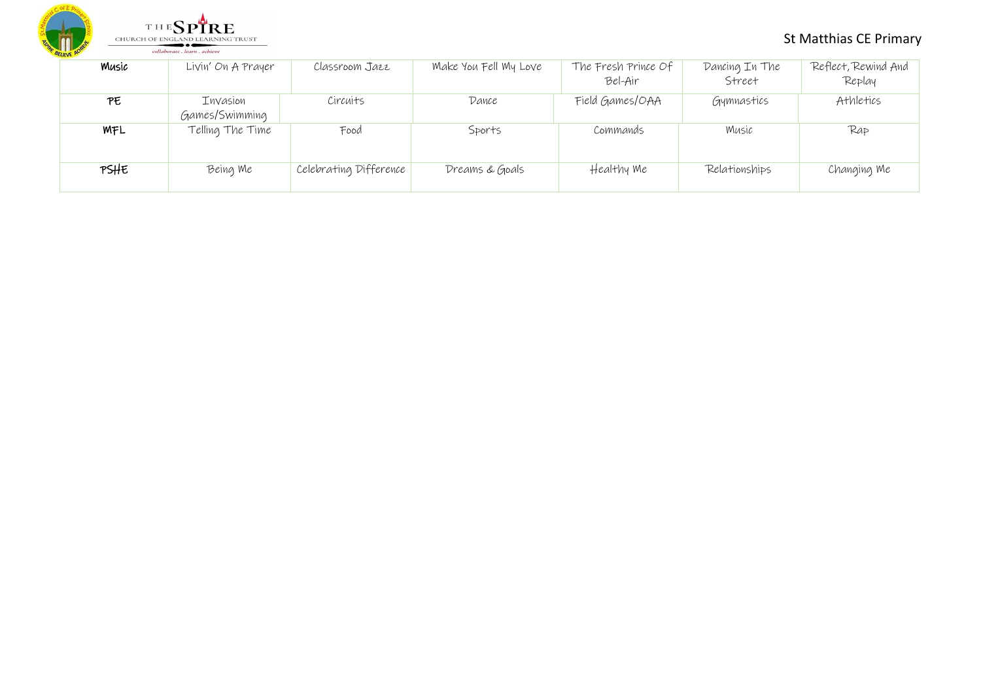

| <b>OFLIEVE ACTIVE</b> | CHURCH OF ENGENNID LEARNING TRUST<br>collaborate . learn . achieve |                        | <b>JUNIQUILITIAL COLLET FILLITIAL</b> |                                |                          |                               |
|-----------------------|--------------------------------------------------------------------|------------------------|---------------------------------------|--------------------------------|--------------------------|-------------------------------|
| Music                 | Livin' On A Prayer                                                 | Classroom Jazz         | Make You Fell My Love                 | The Fresh Prince Of<br>Bel-Air | Dancing In The<br>Street | Reflect, Rewind And<br>Replay |
| PE                    | Invasion<br>Games/Swimming                                         | Circuits               | Dance                                 | Field Games/OAA                | Gymnastics               | Athletics                     |
| <b>MFL</b>            | Telling The Time                                                   | Food                   | Sports                                | Commands                       | Music                    | Rap                           |
| PSHE                  | Being Me                                                           | Celebrating Difference | Dreams & Goals                        | Healthy Me                     | Relationships            | Changing Me                   |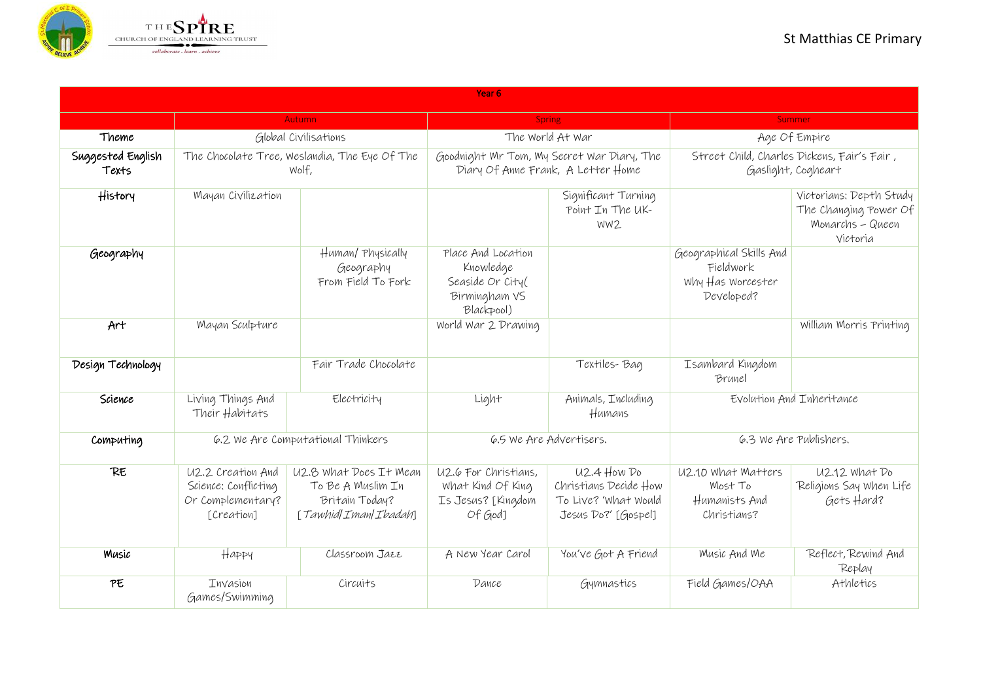

|                            |                                                                              |                                                                                       | Year 6                                                                             |                                                                                       |                                                                         |                                                                                  |
|----------------------------|------------------------------------------------------------------------------|---------------------------------------------------------------------------------------|------------------------------------------------------------------------------------|---------------------------------------------------------------------------------------|-------------------------------------------------------------------------|----------------------------------------------------------------------------------|
|                            |                                                                              | Autumn                                                                                | <b>Spring</b>                                                                      |                                                                                       | Summer                                                                  |                                                                                  |
| Theme                      |                                                                              | Global Civilisations                                                                  |                                                                                    | The World At War                                                                      |                                                                         | Age Of Empire                                                                    |
| Suggested English<br>Texts |                                                                              | The Chocolate Tree, Weslandia, The Eye Of The<br>Wolf,                                |                                                                                    | Goodnight Mr Tom, My Secret War Diary, The<br>Diary Of Anne Frank, A Letter Home      | Street Child, Charles Dickens, Fair's Fair,<br>Gaslight, Cogheart       |                                                                                  |
| History                    | Mayan Civilization                                                           |                                                                                       |                                                                                    | Significant Turning<br>Point In The UK-<br>WW2                                        |                                                                         | Victorians: Depth Study<br>The Changing Power Of<br>Monarchs - Queen<br>Victoria |
| Geography                  |                                                                              | Human/ Physically<br>Geography<br>From Field To Fork                                  | Place And Location<br>Knowledge<br>Seaside Or City(<br>Birmingham VS<br>Blackpool) |                                                                                       | Geographical Skills And<br>Fieldwork<br>Why Has Worcester<br>Developed? |                                                                                  |
| Art                        | Mayan Sculpture                                                              |                                                                                       | World War 2 Drawing                                                                |                                                                                       |                                                                         | William Morris Printing                                                          |
| Design Technology          |                                                                              | Fair Trade Chocolate                                                                  |                                                                                    | Textiles-Bag                                                                          | Isambard Kingdom<br>Brunel                                              |                                                                                  |
| Science                    | Living Things And<br>Their Habitats                                          | Electricity                                                                           | Light                                                                              | Animals, Including<br>Humans                                                          |                                                                         | Evolution And Inheritance                                                        |
| Computing                  |                                                                              | 6.2 We Are Computational Thinkers                                                     | 6.5 We Are Advertisers.                                                            |                                                                                       | 6.3 We Are Publishers.                                                  |                                                                                  |
| RE                         | U2.2 Creation And<br>Science: Conflicting<br>Or Complementary?<br>[Creation] | U2.8 What Does It Mean<br>To Be A Muslim In<br>Britain Today?<br>[Tawhid Iman Ibadah] | U2.6 For Christians,<br>What Kind Of King<br>Is Jesus? [Kingdom<br>Of God]         | $U2.4$ How Do<br>Christians Decide How<br>To Live? 'What Would<br>Jesus Do?' [Gospel] | U2.10 What Matters<br>Most To<br>Humanists And<br>Christians?           | $U2.12$ What $Do$<br>Religions Say When Life<br>Gets Hard?                       |
| Music                      | Наррч                                                                        | Classroom Jazz                                                                        | A New Year Carol                                                                   | You've Got A Friend                                                                   | Music And Me                                                            | Reflect, Rewind And<br>Replay                                                    |
| PE                         | Invasion<br>Games/Swimming                                                   | Circuits                                                                              | Dance                                                                              | Gymnastics                                                                            | Field Games/OAA                                                         | Athletics                                                                        |